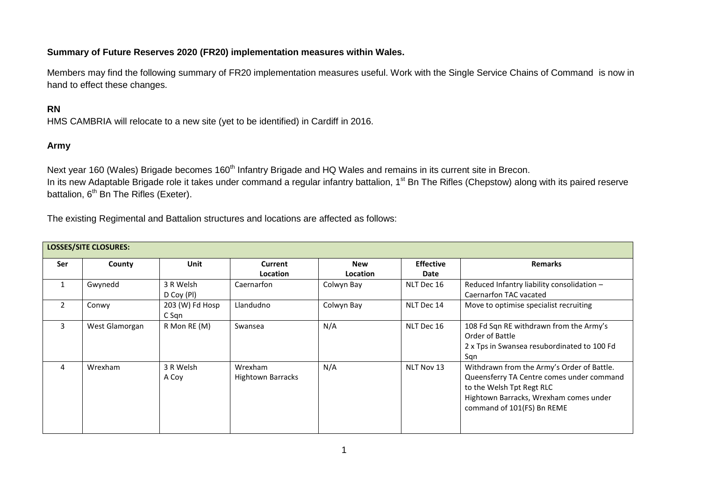## **Summary of Future Reserves 2020 (FR20) implementation measures within Wales.**

Members may find the following summary of FR20 implementation measures useful. Work with the Single Service Chains of Command is now in hand to effect these changes.

## **RN**

HMS CAMBRIA will relocate to a new site (yet to be identified) in Cardiff in 2016.

## **Army**

Next year 160 (Wales) Brigade becomes 160<sup>th</sup> Infantry Brigade and HQ Wales and remains in its current site in Brecon. In its new Adaptable Brigade role it takes under command a regular infantry battalion, 1<sup>st</sup> Bn The Rifles (Chepstow) along with its paired reserve battalion, 6<sup>th</sup> Bn The Rifles (Exeter).

The existing Regimental and Battalion structures and locations are affected as follows:

| <b>LOSSES/SITE CLOSURES:</b> |                |                          |                                     |                               |                          |                                                                                                                                                                                              |  |  |  |  |  |
|------------------------------|----------------|--------------------------|-------------------------------------|-------------------------------|--------------------------|----------------------------------------------------------------------------------------------------------------------------------------------------------------------------------------------|--|--|--|--|--|
| Ser                          | County         | Unit                     | Current<br><b>Location</b>          | <b>New</b><br><b>Location</b> | <b>Effective</b><br>Date | <b>Remarks</b>                                                                                                                                                                               |  |  |  |  |  |
| $\mathbf{1}$                 | Gwynedd        | 3 R Welsh<br>D Coy (PI)  | Caernarfon                          | Colwyn Bay                    | NLT Dec 16               | Reduced Infantry liability consolidation -<br>Caernarfon TAC vacated                                                                                                                         |  |  |  |  |  |
| $\overline{2}$               | Conwy          | 203 (W) Fd Hosp<br>C Sqn | Llandudno                           | Colwyn Bay                    | NLT Dec 14               | Move to optimise specialist recruiting                                                                                                                                                       |  |  |  |  |  |
| 3                            | West Glamorgan | R Mon RE (M)             | Swansea                             | N/A                           | NLT Dec 16               | 108 Fd Sqn RE withdrawn from the Army's<br>Order of Battle<br>2 x Tps in Swansea resubordinated to 100 Fd<br>Sqn                                                                             |  |  |  |  |  |
| 4                            | Wrexham        | 3 R Welsh<br>A Coy       | Wrexham<br><b>Hightown Barracks</b> | N/A                           | NLT Nov 13               | Withdrawn from the Army's Order of Battle.<br>Queensferry TA Centre comes under command<br>to the Welsh Tpt Regt RLC<br>Hightown Barracks, Wrexham comes under<br>command of 101(FS) Bn REME |  |  |  |  |  |